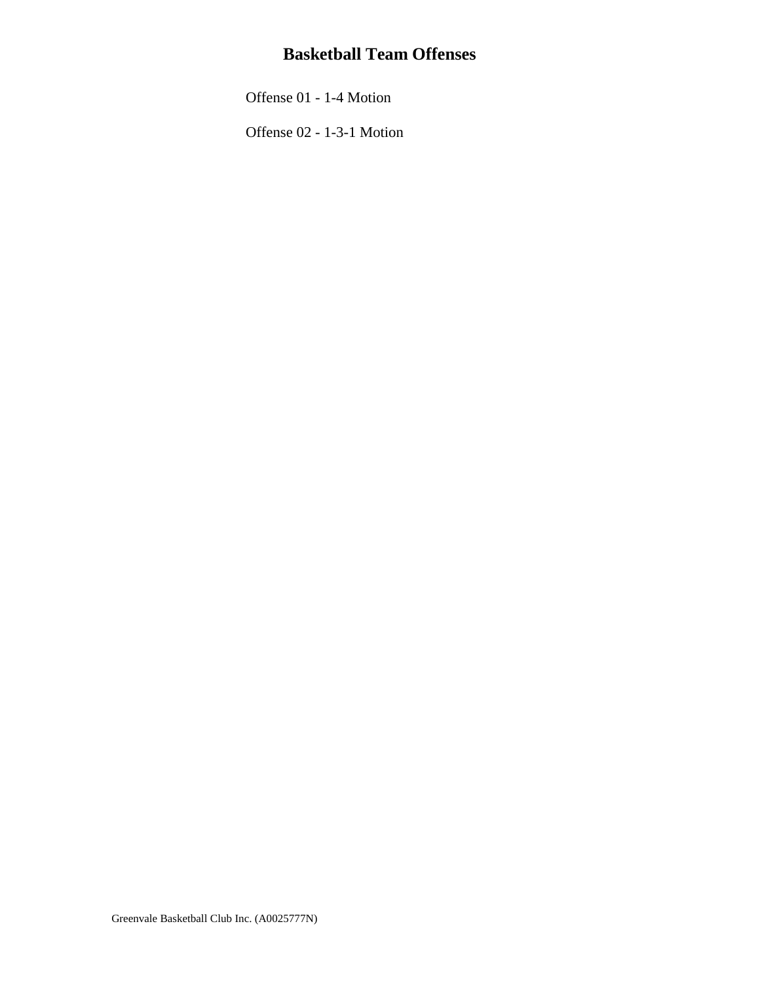## **Basketball Team Offenses**

[Offense 01 - 1-4 Motion](#page-1-0)

[Offense 02 - 1-3-1 Motion](#page-3-0)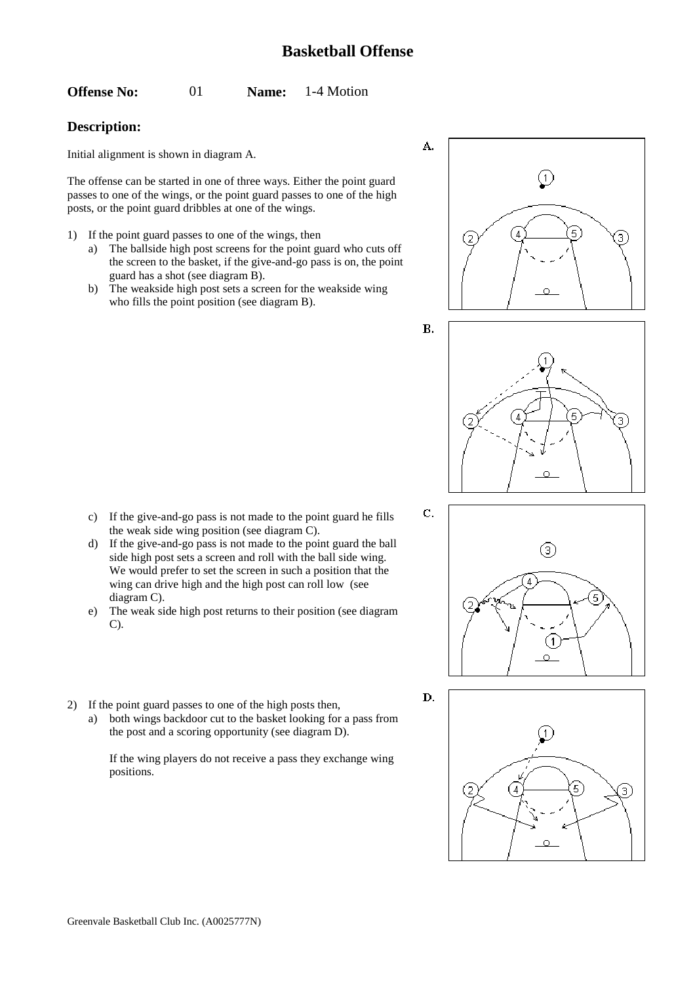<span id="page-1-0"></span>**Offense No:** 01 **Name:** 1-4 Motion

## **Description:**

Initial alignment is shown in diagram A.

The offense can be started in one of three ways. Either the point guard passes to one of the wings, or the point guard passes to one of the high posts, or the point guard dribbles at one of the wings.

- 1) If the point guard passes to one of the wings, then
	- a) The ballside high post screens for the point guard who cuts off the screen to the basket, if the give-and-go pass is on, the point guard has a shot (see diagram B).
	- b) The weakside high post sets a screen for the weakside wing who fills the point position (see diagram B).

- c) If the give-and-go pass is not made to the point guard he fills the weak side wing position (see diagram C).
- d) If the give-and-go pass is not made to the point guard the ball side high post sets a screen and roll with the ball side wing. We would prefer to set the screen in such a position that the wing can drive high and the high post can roll low (see diagram C).
- e) The weak side high post returns to their position (see diagram C).
- 2) If the point guard passes to one of the high posts then,
	- a) both wings backdoor cut to the basket looking for a pass from the post and a scoring opportunity (see diagram D).

If the wing players do not receive a pass they exchange wing positions.









D.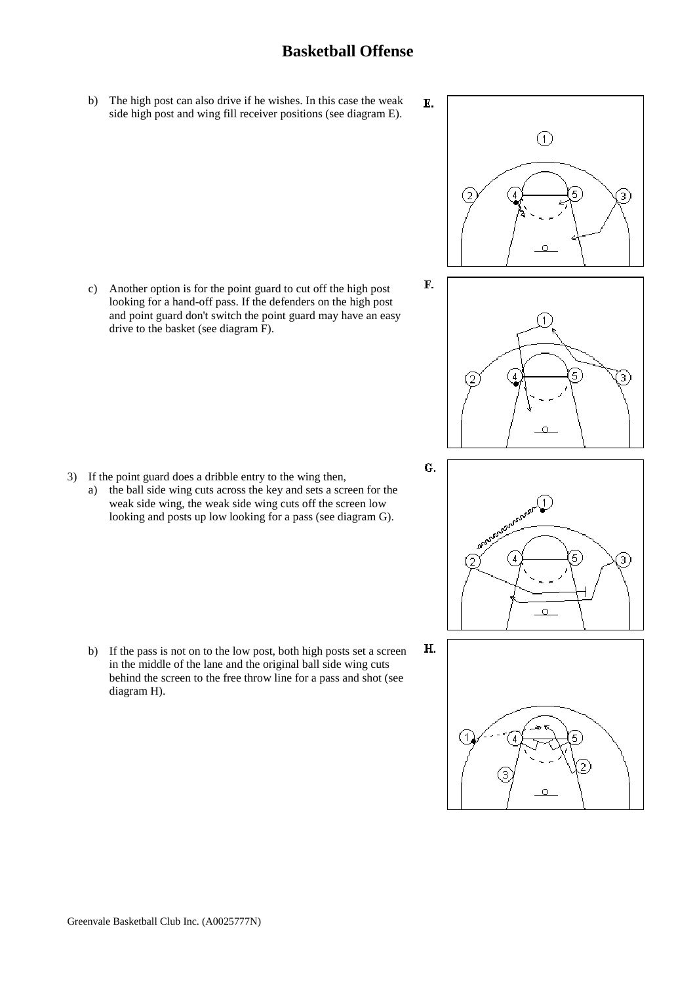## **Basketball Offense**

b) The high post can also drive if he wishes. In this case the weak side high post and wing fill receiver positions (see diagram E).

c) Another option is for the point guard to cut off the high post looking for a hand-off pass. If the defenders on the high post and point guard don't switch the point guard may have an easy drive to the basket (see diagram F).

- 3) If the point guard does a dribble entry to the wing then,
	- a) the ball side wing cuts across the key and sets a screen for the weak side wing, the weak side wing cuts off the screen low looking and posts up low looking for a pass (see diagram G).

b) If the pass is not on to the low post, both high posts set a screen in the middle of the lane and the original ball side wing cuts behind the screen to the free throw line for a pass and shot (see diagram H).